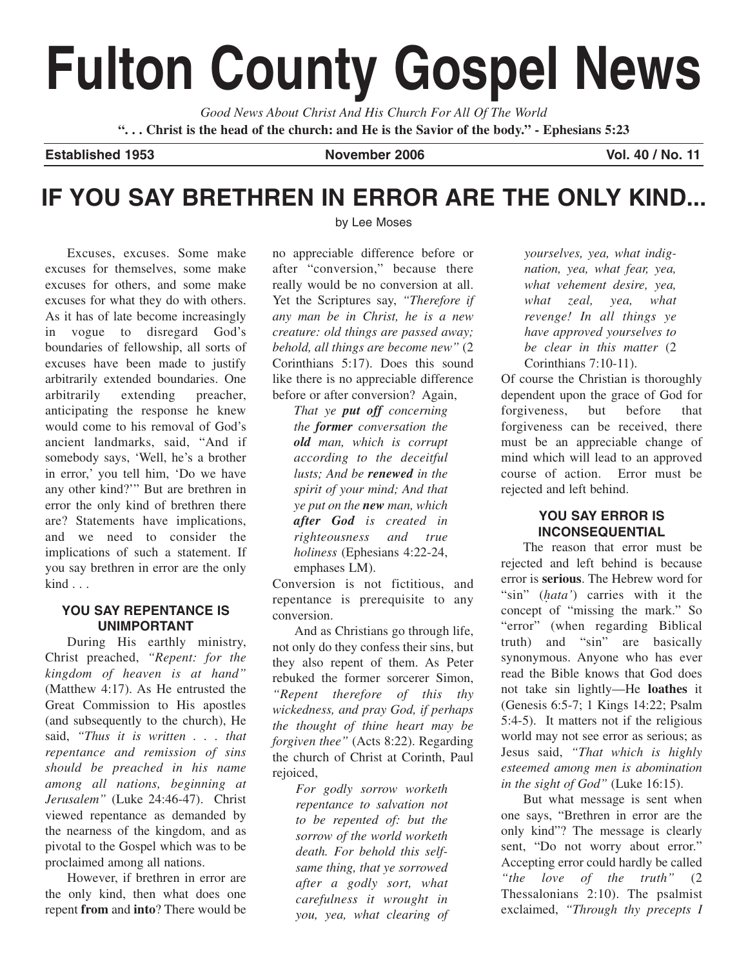# **Fulton County Gospel News**

*Good News About Christ And His Church For All Of The World* **". . . Christ is the head of the church: and He is the Savior of the body." - Ephesians 5:23**

**Established 1953 November 2006 Vol. 40 / No. 11**

# **IF YOU SAY BRETHREN IN ERROR ARE THE ONLY KIND...**

Excuses, excuses. Some make excuses for themselves, some make excuses for others, and some make excuses for what they do with others. As it has of late become increasingly in vogue to disregard God's boundaries of fellowship, all sorts of excuses have been made to justify arbitrarily extended boundaries. One arbitrarily extending preacher, anticipating the response he knew would come to his removal of God's ancient landmarks, said, "And if somebody says, 'Well, he's a brother in error,' you tell him, 'Do we have any other kind?'" But are brethren in error the only kind of brethren there are? Statements have implications, and we need to consider the implications of such a statement. If you say brethren in error are the only kind . . .

#### **YOU SAY REPENTANCE IS UNIMPORTANT**

During His earthly ministry, Christ preached, *"Repent: for the kingdom of heaven is at hand"* (Matthew 4:17). As He entrusted the Great Commission to His apostles (and subsequently to the church), He said, *"Thus it is written . . . that repentance and remission of sins should be preached in his name among all nations, beginning at Jerusalem"* (Luke 24:46-47). Christ viewed repentance as demanded by the nearness of the kingdom, and as pivotal to the Gospel which was to be proclaimed among all nations.

However, if brethren in error are the only kind, then what does one repent **from** and **into**? There would be by Lee Moses

no appreciable difference before or after "conversion," because there really would be no conversion at all. Yet the Scriptures say, *"Therefore if any man be in Christ, he is a new creature: old things are passed away; behold, all things are become new"* (2 Corinthians 5:17). Does this sound like there is no appreciable difference before or after conversion? Again,

> *That ye put off concerning the former conversation the old man, which is corrupt according to the deceitful lusts; And be renewed in the spirit of your mind; And that ye put on the new man, which after God is created in righteousness and true holiness* (Ephesians 4:22-24, emphases LM).

Conversion is not fictitious, and repentance is prerequisite to any conversion.

And as Christians go through life, not only do they confess their sins, but they also repent of them. As Peter rebuked the former sorcerer Simon, *"Repent therefore of this thy wickedness, and pray God, if perhaps the thought of thine heart may be forgiven thee"* (Acts 8:22). Regarding the church of Christ at Corinth, Paul rejoiced,

> *For godly sorrow worketh repentance to salvation not to be repented of: but the sorrow of the world worketh death. For behold this selfsame thing, that ye sorrowed after a godly sort, what carefulness it wrought in you, yea, what clearing of*

*yourselves, yea, what indignation, yea, what fear, yea, what vehement desire, yea, what zeal, yea, what revenge! In all things ye have approved yourselves to be clear in this matter* (2 Corinthians 7:10-11).

Of course the Christian is thoroughly dependent upon the grace of God for forgiveness, but before that forgiveness can be received, there must be an appreciable change of mind which will lead to an approved course of action. Error must be rejected and left behind.

### **YOU SAY ERROR IS INCONSEQUENTIAL**

The reason that error must be rejected and left behind is because error is **serious**. The Hebrew word for "sin" (*hata'*) carries with it the *.*concept of "missing the mark." So "error" (when regarding Biblical truth) and "sin" are basically synonymous. Anyone who has ever read the Bible knows that God does not take sin lightly—He **loathes** it (Genesis 6:5-7; 1 Kings 14:22; Psalm 5:4-5). It matters not if the religious world may not see error as serious; as Jesus said, *"That which is highly esteemed among men is abomination in the sight of God"* (Luke 16:15).

But what message is sent when one says, "Brethren in error are the only kind"? The message is clearly sent, "Do not worry about error." Accepting error could hardly be called *"the love of the truth"* (2 Thessalonians 2:10). The psalmist exclaimed, *"Through thy precepts I*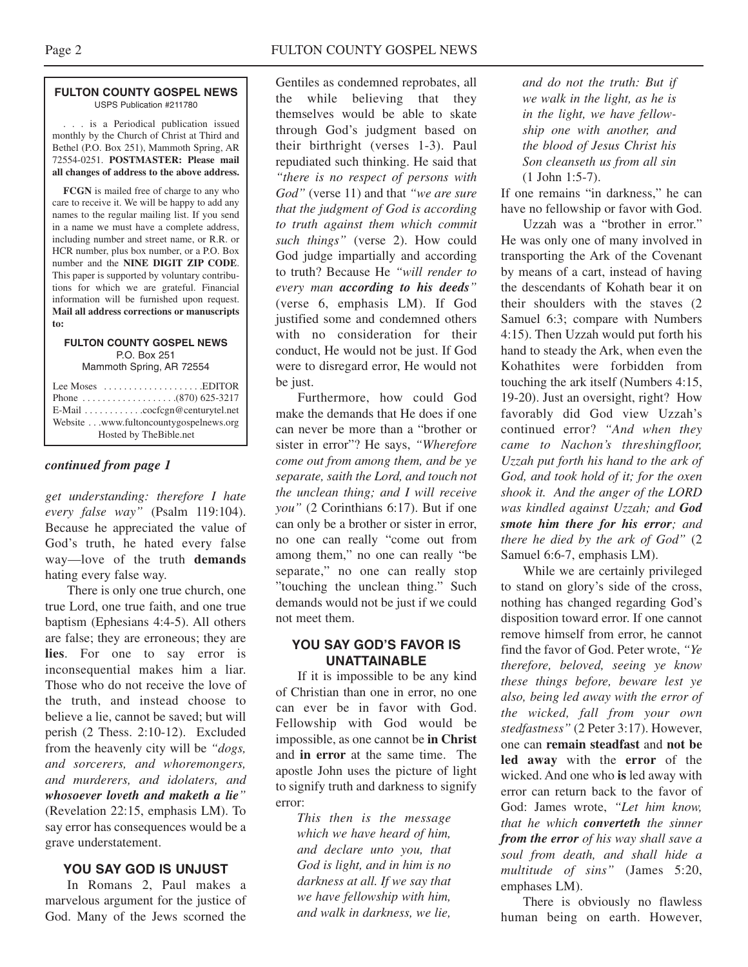#### **FULTON COUNTY GOSPEL NEWS** USPS Publication #211780

. . . is a Periodical publication issued monthly by the Church of Christ at Third and Bethel (P.O. Box 251), Mammoth Spring, AR 72554-0251. **POSTMASTER: Please mail all changes of address to the above address.**

**FCGN** is mailed free of charge to any who care to receive it. We will be happy to add any names to the regular mailing list. If you send in a name we must have a complete address, including number and street name, or R.R. or HCR number, plus box number, or a P.O. Box number and the **NINE DIGIT ZIP CODE**. This paper is supported by voluntary contributions for which we are grateful. Financial information will be furnished upon request. **Mail all address corrections or manuscripts to:**

# **FULTON COUNTY GOSPEL NEWS**

P.O. Box 251 Mammoth Spring, AR 72554

| Lee Moses $\dots\dots\dots\dots\dots\dots$ . EDITOR<br>E-Mail cocfcgn@centurytel.net<br>Website www.fultoncountygospelnews.org |
|--------------------------------------------------------------------------------------------------------------------------------|
| Hosted by TheBible.net                                                                                                         |

### *continued from page 1*

*get understanding: therefore I hate every false way"* (Psalm 119:104). Because he appreciated the value of God's truth, he hated every false way—love of the truth **demands** hating every false way.

There is only one true church, one true Lord, one true faith, and one true baptism (Ephesians 4:4-5). All others are false; they are erroneous; they are **lies**. For one to say error is inconsequential makes him a liar. Those who do not receive the love of the truth, and instead choose to believe a lie, cannot be saved; but will perish (2 Thess. 2:10-12). Excluded from the heavenly city will be *"dogs, and sorcerers, and whoremongers, and murderers, and idolaters, and whosoever loveth and maketh a lie"* (Revelation 22:15, emphasis LM). To say error has consequences would be a grave understatement.

## **YOU SAY GOD IS UNJUST**

In Romans 2, Paul makes a marvelous argument for the justice of God. Many of the Jews scorned the Gentiles as condemned reprobates, all the while believing that they themselves would be able to skate through God's judgment based on their birthright (verses 1-3). Paul repudiated such thinking. He said that *"there is no respect of persons with God"* (verse 11) and that *"we are sure that the judgment of God is according to truth against them which commit such things"* (verse 2). How could God judge impartially and according to truth? Because He *"will render to every man according to his deeds"* (verse 6, emphasis LM). If God justified some and condemned others with no consideration for their conduct, He would not be just. If God were to disregard error, He would not be just.

Furthermore, how could God make the demands that He does if one can never be more than a "brother or sister in error"? He says, *"Wherefore come out from among them, and be ye separate, saith the Lord, and touch not the unclean thing; and I will receive you"* (2 Corinthians 6:17). But if one can only be a brother or sister in error, no one can really "come out from among them," no one can really "be separate," no one can really stop "touching the unclean thing." Such demands would not be just if we could not meet them.

#### **YOU SAY GOD'S FAVOR IS UNATTAINABLE**

If it is impossible to be any kind of Christian than one in error, no one can ever be in favor with God. Fellowship with God would be impossible, as one cannot be **in Christ** and **in error** at the same time. The apostle John uses the picture of light to signify truth and darkness to signify error:

*This then is the message which we have heard of him, and declare unto you, that God is light, and in him is no darkness at all. If we say that we have fellowship with him, and walk in darkness, we lie,*

*and do not the truth: But if we walk in the light, as he is in the light, we have fellowship one with another, and the blood of Jesus Christ his Son cleanseth us from all sin* (1 John 1:5-7).

If one remains "in darkness," he can have no fellowship or favor with God.

Uzzah was a "brother in error." He was only one of many involved in transporting the Ark of the Covenant by means of a cart, instead of having the descendants of Kohath bear it on their shoulders with the staves (2 Samuel 6:3; compare with Numbers 4:15). Then Uzzah would put forth his hand to steady the Ark, when even the Kohathites were forbidden from touching the ark itself (Numbers 4:15, 19-20). Just an oversight, right? How favorably did God view Uzzah's continued error? *"And when they came to Nachon's threshingfloor, Uzzah put forth his hand to the ark of God, and took hold of it; for the oxen shook it. And the anger of the LORD was kindled against Uzzah; and God smote him there for his error; and there he died by the ark of God"* (2 Samuel 6:6-7, emphasis LM).

While we are certainly privileged to stand on glory's side of the cross, nothing has changed regarding God's disposition toward error. If one cannot remove himself from error, he cannot find the favor of God. Peter wrote, *"Ye therefore, beloved, seeing ye know these things before, beware lest ye also, being led away with the error of the wicked, fall from your own stedfastness"* (2 Peter 3:17). However, one can **remain steadfast** and **not be led away** with the **error** of the wicked. And one who **is** led away with error can return back to the favor of God: James wrote, *"Let him know, that he which converteth the sinner from the error of his way shall save a soul from death, and shall hide a multitude of sins"* (James 5:20, emphases LM).

There is obviously no flawless human being on earth. However,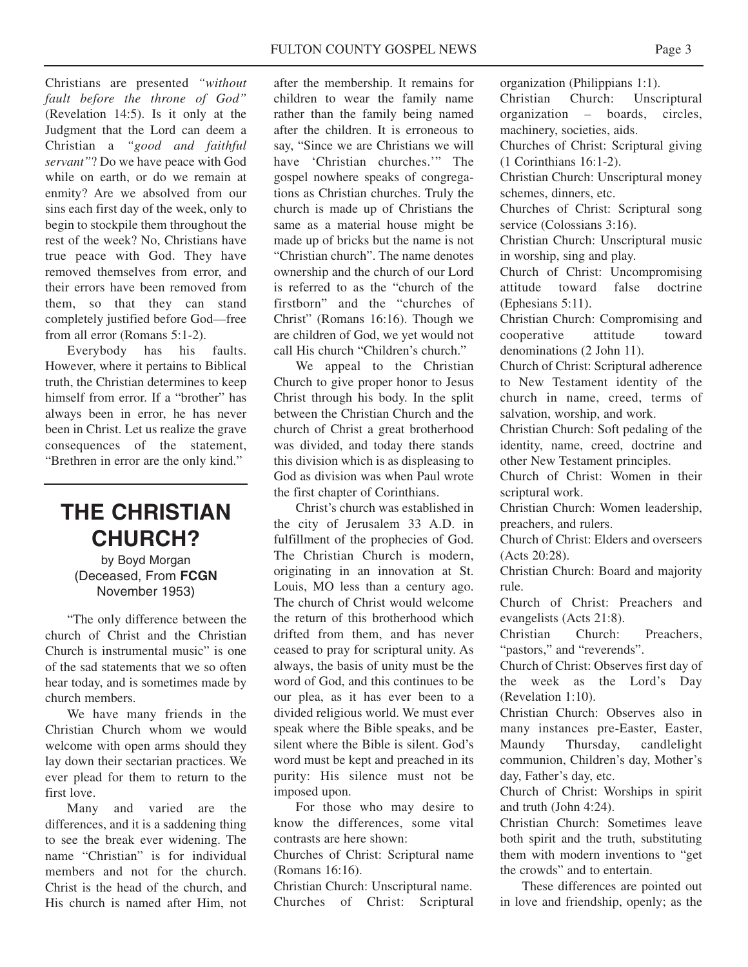Christians are presented *"without fault before the throne of God"* (Revelation 14:5). Is it only at the Judgment that the Lord can deem a Christian a *"good and faithful servant"*? Do we have peace with God while on earth, or do we remain at enmity? Are we absolved from our sins each first day of the week, only to begin to stockpile them throughout the rest of the week? No, Christians have true peace with God. They have removed themselves from error, and their errors have been removed from them, so that they can stand completely justified before God—free from all error (Romans 5:1-2).

Everybody has his faults. However, where it pertains to Biblical truth, the Christian determines to keep himself from error. If a "brother" has always been in error, he has never been in Christ. Let us realize the grave consequences of the statement, "Brethren in error are the only kind."

# **THE CHRISTIAN CHURCH?**

by Boyd Morgan (Deceased, From **FCGN** November 1953)

"The only difference between the church of Christ and the Christian Church is instrumental music" is one of the sad statements that we so often hear today, and is sometimes made by church members.

We have many friends in the Christian Church whom we would welcome with open arms should they lay down their sectarian practices. We ever plead for them to return to the first love.

Many and varied are the differences, and it is a saddening thing to see the break ever widening. The name "Christian" is for individual members and not for the church. Christ is the head of the church, and His church is named after Him, not after the membership. It remains for children to wear the family name rather than the family being named after the children. It is erroneous to say, "Since we are Christians we will have 'Christian churches.'" The gospel nowhere speaks of congregations as Christian churches. Truly the church is made up of Christians the same as a material house might be made up of bricks but the name is not "Christian church". The name denotes ownership and the church of our Lord is referred to as the "church of the firstborn" and the "churches of Christ" (Romans 16:16). Though we are children of God, we yet would not call His church "Children's church."

We appeal to the Christian Church to give proper honor to Jesus Christ through his body. In the split between the Christian Church and the church of Christ a great brotherhood was divided, and today there stands this division which is as displeasing to God as division was when Paul wrote the first chapter of Corinthians.

Christ's church was established in the city of Jerusalem 33 A.D. in fulfillment of the prophecies of God. The Christian Church is modern, originating in an innovation at St. Louis, MO less than a century ago. The church of Christ would welcome the return of this brotherhood which drifted from them, and has never ceased to pray for scriptural unity. As always, the basis of unity must be the word of God, and this continues to be our plea, as it has ever been to a divided religious world. We must ever speak where the Bible speaks, and be silent where the Bible is silent. God's word must be kept and preached in its purity: His silence must not be imposed upon.

For those who may desire to know the differences, some vital contrasts are here shown:

Churches of Christ: Scriptural name (Romans 16:16).

Christian Church: Unscriptural name. Churches of Christ: Scriptural organization (Philippians 1:1).

Christian Church: Unscriptural organization – boards, circles, machinery, societies, aids.

Churches of Christ: Scriptural giving (1 Corinthians 16:1-2).

Christian Church: Unscriptural money schemes, dinners, etc.

Churches of Christ: Scriptural song service (Colossians 3:16).

Christian Church: Unscriptural music in worship, sing and play.

Church of Christ: Uncompromising attitude toward false doctrine (Ephesians 5:11).

Christian Church: Compromising and cooperative attitude toward denominations (2 John 11).

Church of Christ: Scriptural adherence to New Testament identity of the church in name, creed, terms of salvation, worship, and work.

Christian Church: Soft pedaling of the identity, name, creed, doctrine and other New Testament principles.

Church of Christ: Women in their scriptural work.

Christian Church: Women leadership, preachers, and rulers.

Church of Christ: Elders and overseers (Acts 20:28).

Christian Church: Board and majority rule.

Church of Christ: Preachers and evangelists (Acts 21:8).

Christian Church: Preachers, "pastors," and "reverends".

Church of Christ: Observes first day of the week as the Lord's Day (Revelation 1:10).

Christian Church: Observes also in many instances pre-Easter, Easter, Maundy Thursday, candlelight communion, Children's day, Mother's day, Father's day, etc.

Church of Christ: Worships in spirit and truth (John 4:24).

Christian Church: Sometimes leave both spirit and the truth, substituting them with modern inventions to "get the crowds" and to entertain.

These differences are pointed out in love and friendship, openly; as the